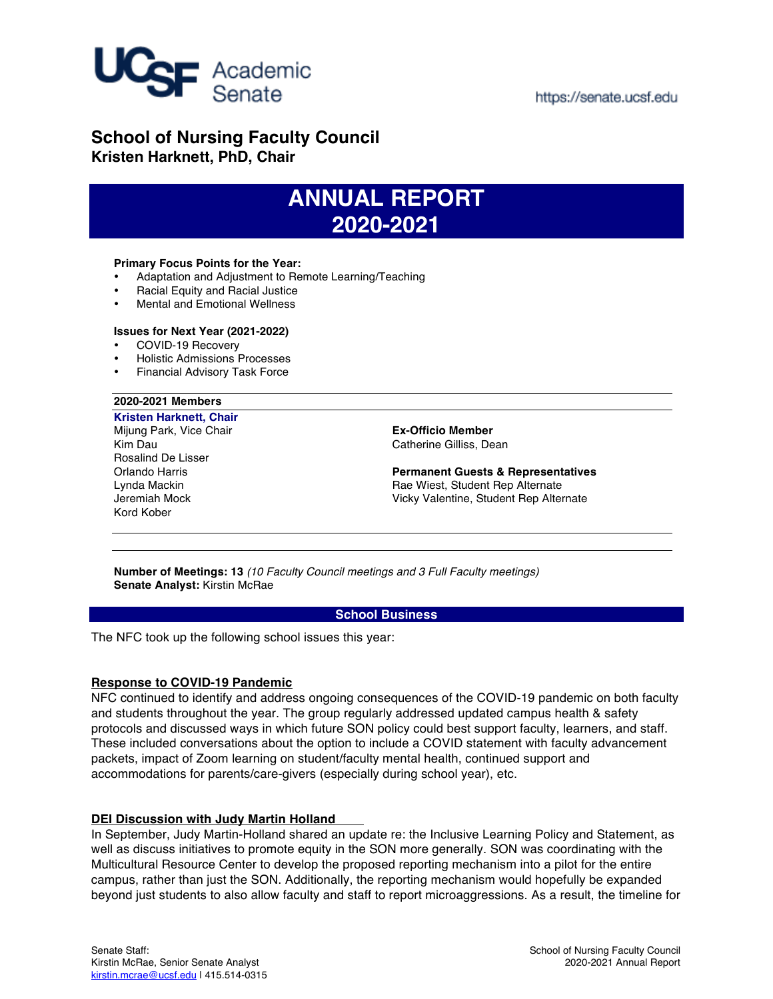

## **School of Nursing Faculty Council Kristen Harknett, PhD, Chair**

# **ANNUAL REPORT 2020-2021**

#### **Primary Focus Points for the Year:**

- Adaptation and Adjustment to Remote Learning/Teaching
- Racial Equity and Racial Justice
- Mental and Emotional Wellness

### **Issues for Next Year (2021-2022)**

- COVID-19 Recovery
- Holistic Admissions Processes
- Financial Advisory Task Force

#### **2020-2021 Members**

**Kristen Harknett, Chair** Mijung Park, Vice Chair Kim Dau Rosalind De Lisser Orlando Harris Lynda Mackin Jeremiah Mock Kord Kober

**Ex-Officio Member** Catherine Gilliss, Dean

**Permanent Guests & Representatives**  Rae Wiest, Student Rep Alternate Vicky Valentine, Student Rep Alternate

**Number of Meetings: 13** *(10 Faculty Council meetings and 3 Full Faculty meetings)* **Senate Analyst:** Kirstin McRae

#### **School Business**

The NFC took up the following school issues this year:

#### **Response to COVID-19 Pandemic**

NFC continued to identify and address ongoing consequences of the COVID-19 pandemic on both faculty and students throughout the year. The group regularly addressed updated campus health & safety protocols and discussed ways in which future SON policy could best support faculty, learners, and staff. These included conversations about the option to include a COVID statement with faculty advancement packets, impact of Zoom learning on student/faculty mental health, continued support and accommodations for parents/care-givers (especially during school year), etc.

#### **DEI Discussion with Judy Martin Holland**

In September, Judy Martin-Holland shared an update re: the Inclusive Learning Policy and Statement, as well as discuss initiatives to promote equity in the SON more generally. SON was coordinating with the Multicultural Resource Center to develop the proposed reporting mechanism into a pilot for the entire campus, rather than just the SON. Additionally, the reporting mechanism would hopefully be expanded beyond just students to also allow faculty and staff to report microaggressions. As a result, the timeline for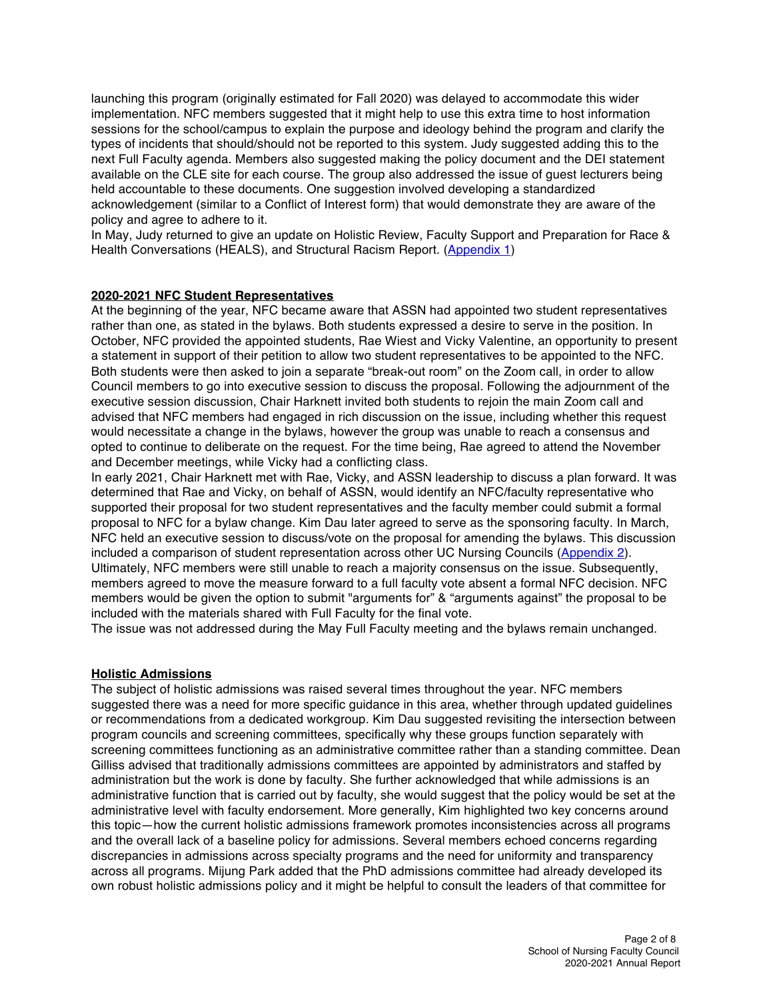launching this program (originally estimated for Fall 2020) was delayed to accommodate this wider implementation. NFC members suggested that it might help to use this extra time to host information sessions for the school/campus to explain the purpose and ideology behind the program and clarify the types of incidents that should/should not be reported to this system. Judy suggested adding this to the next Full Faculty agenda. Members also suggested making the policy document and the DEI statement available on the CLE site for each course. The group also addressed the issue of guest lecturers being held accountable to these documents. One suggestion involved developing a standardized acknowledgement (similar to a Conflict of Interest form) that would demonstrate they are aware of the policy and agree to adhere to it.

In May, Judy returned to give an update on Holistic Review, Faculty Support and Preparation for Race & Health Conversations (HEALS), and Structural Racism Report. [\(Appendix 1\)](https://senate.ucsf.edu/sites/default/files/2022-02/App1_DEI_Update_to_NFC_JMH_May_14_2021.pptx)

#### **2020-2021 NFC Student Representatives**

At the beginning of the year, NFC became aware that ASSN had appointed two student representatives rather than one, as stated in the bylaws. Both students expressed a desire to serve in the position. In October, NFC provided the appointed students, Rae Wiest and Vicky Valentine, an opportunity to present a statement in support of their petition to allow two student representatives to be appointed to the NFC. Both students were then asked to join a separate "break-out room" on the Zoom call, in order to allow Council members to go into executive session to discuss the proposal. Following the adjournment of the executive session discussion, Chair Harknett invited both students to rejoin the main Zoom call and advised that NFC members had engaged in rich discussion on the issue, including whether this request would necessitate a change in the bylaws, however the group was unable to reach a consensus and opted to continue to deliberate on the request. For the time being, Rae agreed to attend the November and December meetings, while Vicky had a conflicting class.

In early 2021, Chair Harknett met with Rae, Vicky, and ASSN leadership to discuss a plan forward. It was determined that Rae and Vicky, on behalf of ASSN, would identify an NFC/faculty representative who supported their proposal for two student representatives and the faculty member could submit a formal proposal to NFC for a bylaw change. Kim Dau later agreed to serve as the sponsoring faculty. In March, NFC held an executive session to discuss/vote on the proposal for amending the bylaws. This discussion included a comparison of student representation across other UC Nursing Councils [\(Appendix 2\)](https://senate.ucsf.edu/sites/default/files/2022-02/App2_StudentRepComparison.docx.pdf). Ultimately, NFC members were still unable to reach a majority consensus on the issue. Subsequently, members agreed to move the measure forward to a full faculty vote absent a formal NFC decision. NFC members would be given the option to submit "arguments for" & "arguments against" the proposal to be included with the materials shared with Full Faculty for the final vote.

The issue was not addressed during the May Full Faculty meeting and the bylaws remain unchanged.

#### **Holistic Admissions**

The subject of holistic admissions was raised several times throughout the year. NFC members suggested there was a need for more specific guidance in this area, whether through updated guidelines or recommendations from a dedicated workgroup. Kim Dau suggested revisiting the intersection between program councils and screening committees, specifically why these groups function separately with screening committees functioning as an administrative committee rather than a standing committee. Dean Gilliss advised that traditionally admissions committees are appointed by administrators and staffed by administration but the work is done by faculty. She further acknowledged that while admissions is an administrative function that is carried out by faculty, she would suggest that the policy would be set at the administrative level with faculty endorsement. More generally, Kim highlighted two key concerns around this topic—how the current holistic admissions framework promotes inconsistencies across all programs and the overall lack of a baseline policy for admissions. Several members echoed concerns regarding discrepancies in admissions across specialty programs and the need for uniformity and transparency across all programs. Mijung Park added that the PhD admissions committee had already developed its own robust holistic admissions policy and it might be helpful to consult the leaders of that committee for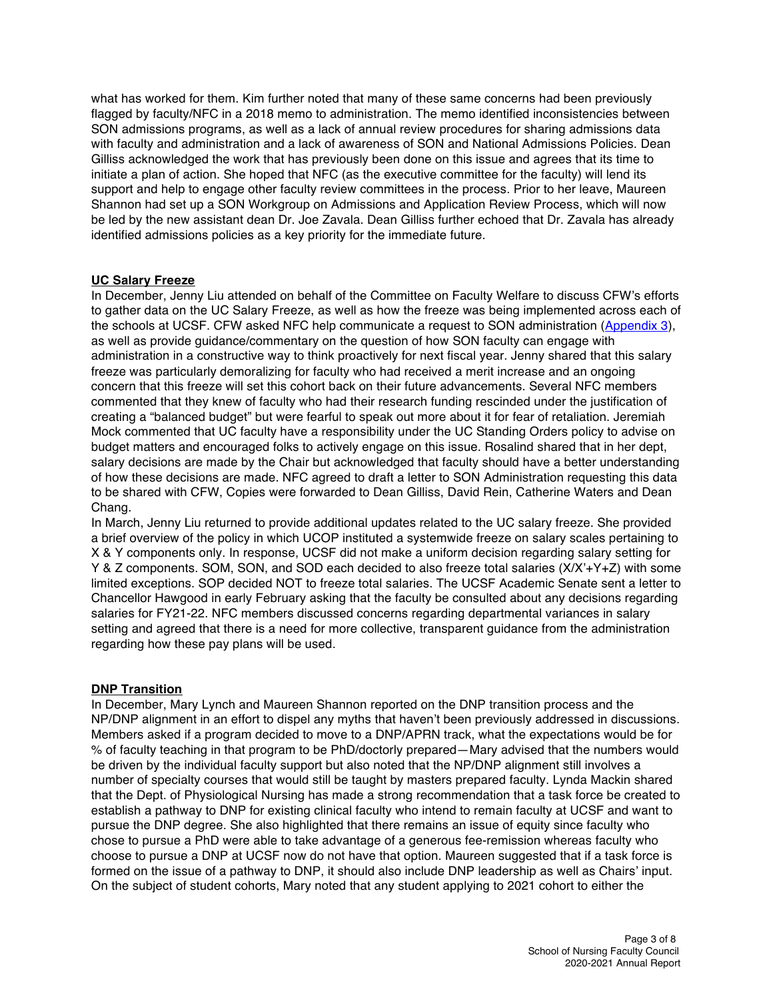what has worked for them. Kim further noted that many of these same concerns had been previously flagged by faculty/NFC in a 2018 memo to administration. The memo identified inconsistencies between SON admissions programs, as well as a lack of annual review procedures for sharing admissions data with faculty and administration and a lack of awareness of SON and National Admissions Policies. Dean Gilliss acknowledged the work that has previously been done on this issue and agrees that its time to initiate a plan of action. She hoped that NFC (as the executive committee for the faculty) will lend its support and help to engage other faculty review committees in the process. Prior to her leave, Maureen Shannon had set up a SON Workgroup on Admissions and Application Review Process, which will now be led by the new assistant dean Dr. Joe Zavala. Dean Gilliss further echoed that Dr. Zavala has already identified admissions policies as a key priority for the immediate future.

## **UC Salary Freeze**

In December, Jenny Liu attended on behalf of the Committee on Faculty Welfare to discuss CFW's efforts to gather data on the UC Salary Freeze, as well as how the freeze was being implemented across each of the schools at UCSF. CFW asked NFC help communicate a request to SON administration [\(Appendix 3\)](https://senate.ucsf.edu/sites/default/files/2022-02/App3_CFWSalary_Freeze_Data_Request.pdf), as well as provide guidance/commentary on the question of how SON faculty can engage with administration in a constructive way to think proactively for next fiscal year. Jenny shared that this salary freeze was particularly demoralizing for faculty who had received a merit increase and an ongoing concern that this freeze will set this cohort back on their future advancements. Several NFC members commented that they knew of faculty who had their research funding rescinded under the justification of creating a "balanced budget" but were fearful to speak out more about it for fear of retaliation. Jeremiah Mock commented that UC faculty have a responsibility under the UC Standing Orders policy to advise on budget matters and encouraged folks to actively engage on this issue. Rosalind shared that in her dept, salary decisions are made by the Chair but acknowledged that faculty should have a better understanding of how these decisions are made. NFC agreed to draft a letter to SON Administration requesting this data to be shared with CFW, Copies were forwarded to Dean Gilliss, David Rein, Catherine Waters and Dean Chang.

In March, Jenny Liu returned to provide additional updates related to the UC salary freeze. She provided a brief overview of the policy in which UCOP instituted a systemwide freeze on salary scales pertaining to X & Y components only. In response, UCSF did not make a uniform decision regarding salary setting for Y & Z components. SOM, SON, and SOD each decided to also freeze total salaries (X/X'+Y+Z) with some limited exceptions. SOP decided NOT to freeze total salaries. The UCSF Academic Senate sent a letter to Chancellor Hawgood in early February asking that the faculty be consulted about any decisions regarding salaries for FY21-22. NFC members discussed concerns regarding departmental variances in salary setting and agreed that there is a need for more collective, transparent guidance from the administration regarding how these pay plans will be used.

## **DNP Transition**

In December, Mary Lynch and Maureen Shannon reported on the DNP transition process and the NP/DNP alignment in an effort to dispel any myths that haven't been previously addressed in discussions. Members asked if a program decided to move to a DNP/APRN track, what the expectations would be for % of faculty teaching in that program to be PhD/doctorly prepared—Mary advised that the numbers would be driven by the individual faculty support but also noted that the NP/DNP alignment still involves a number of specialty courses that would still be taught by masters prepared faculty. Lynda Mackin shared that the Dept. of Physiological Nursing has made a strong recommendation that a task force be created to establish a pathway to DNP for existing clinical faculty who intend to remain faculty at UCSF and want to pursue the DNP degree. She also highlighted that there remains an issue of equity since faculty who chose to pursue a PhD were able to take advantage of a generous fee-remission whereas faculty who choose to pursue a DNP at UCSF now do not have that option. Maureen suggested that if a task force is formed on the issue of a pathway to DNP, it should also include DNP leadership as well as Chairs' input. On the subject of student cohorts, Mary noted that any student applying to 2021 cohort to either the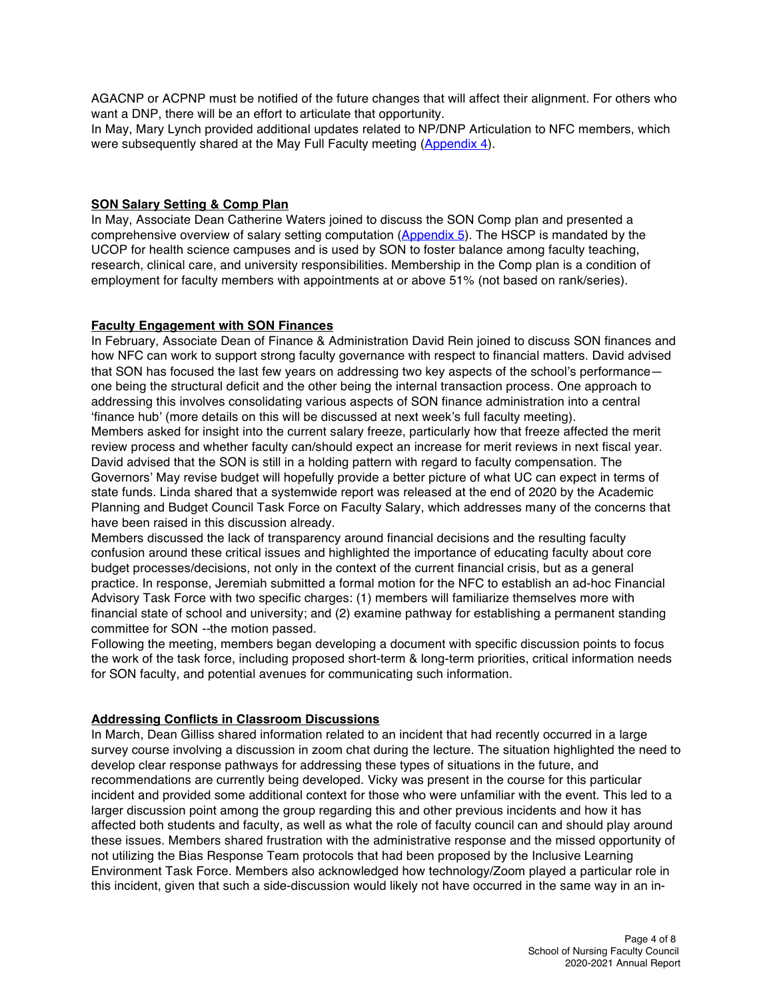AGACNP or ACPNP must be notified of the future changes that will affect their alignment. For others who want a DNP, there will be an effort to articulate that opportunity.

In May, Mary Lynch provided additional updates related to NP/DNP Articulation to NFC members, which were subsequently shared at the May Full Faculty meeting [\(Appendix 4\)](https://senate.ucsf.edu/sites/default/files/2022-02/App4_MS_DNP_Presen_Full_Faculty_5_21_21.pdf).

### **SON Salary Setting & Comp Plan**

In May, Associate Dean Catherine Waters joined to discuss the SON Comp plan and presented a comprehensive overview of salary setting computation [\(Appendix 5\)](https://senate.ucsf.edu/sites/default/files/2022-02/App5_HSCP_CWaters_5.14.21.pdf). The HSCP is mandated by the UCOP for health science campuses and is used by SON to foster balance among faculty teaching, research, clinical care, and university responsibilities. Membership in the Comp plan is a condition of employment for faculty members with appointments at or above 51% (not based on rank/series).

## **Faculty Engagement with SON Finances**

In February, Associate Dean of Finance & Administration David Rein joined to discuss SON finances and how NFC can work to support strong faculty governance with respect to financial matters. David advised that SON has focused the last few years on addressing two key aspects of the school's performance one being the structural deficit and the other being the internal transaction process. One approach to addressing this involves consolidating various aspects of SON finance administration into a central 'finance hub' (more details on this will be discussed at next week's full faculty meeting).

Members asked for insight into the current salary freeze, particularly how that freeze affected the merit review process and whether faculty can/should expect an increase for merit reviews in next fiscal year. David advised that the SON is still in a holding pattern with regard to faculty compensation. The Governors' May revise budget will hopefully provide a better picture of what UC can expect in terms of state funds. Linda shared that a systemwide report was released at the end of 2020 by the Academic Planning and Budget Council Task Force on Faculty Salary, which addresses many of the concerns that have been raised in this discussion already.

Members discussed the lack of transparency around financial decisions and the resulting faculty confusion around these critical issues and highlighted the importance of educating faculty about core budget processes/decisions, not only in the context of the current financial crisis, but as a general practice. In response, Jeremiah submitted a formal motion for the NFC to establish an ad-hoc Financial Advisory Task Force with two specific charges: (1) members will familiarize themselves more with financial state of school and university; and (2) examine pathway for establishing a permanent standing committee for SON *--*the motion passed.

Following the meeting, members began developing a document with specific discussion points to focus the work of the task force, including proposed short-term & long-term priorities, critical information needs for SON faculty, and potential avenues for communicating such information.

#### **Addressing Conflicts in Classroom Discussions**

In March, Dean Gilliss shared information related to an incident that had recently occurred in a large survey course involving a discussion in zoom chat during the lecture. The situation highlighted the need to develop clear response pathways for addressing these types of situations in the future, and recommendations are currently being developed. Vicky was present in the course for this particular incident and provided some additional context for those who were unfamiliar with the event. This led to a larger discussion point among the group regarding this and other previous incidents and how it has affected both students and faculty, as well as what the role of faculty council can and should play around these issues. Members shared frustration with the administrative response and the missed opportunity of not utilizing the Bias Response Team protocols that had been proposed by the Inclusive Learning Environment Task Force. Members also acknowledged how technology/Zoom played a particular role in this incident, given that such a side-discussion would likely not have occurred in the same way in an in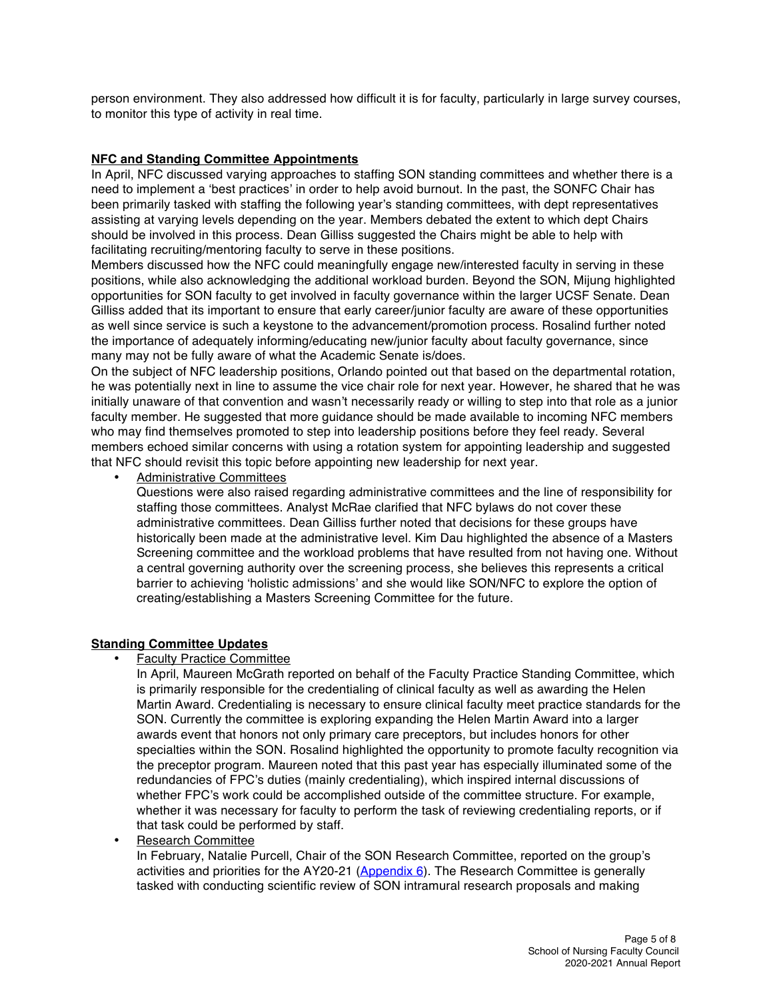person environment. They also addressed how difficult it is for faculty, particularly in large survey courses, to monitor this type of activity in real time.

## **NFC and Standing Committee Appointments**

In April, NFC discussed varying approaches to staffing SON standing committees and whether there is a need to implement a 'best practices' in order to help avoid burnout. In the past, the SONFC Chair has been primarily tasked with staffing the following year's standing committees, with dept representatives assisting at varying levels depending on the year. Members debated the extent to which dept Chairs should be involved in this process. Dean Gilliss suggested the Chairs might be able to help with facilitating recruiting/mentoring faculty to serve in these positions.

Members discussed how the NFC could meaningfully engage new/interested faculty in serving in these positions, while also acknowledging the additional workload burden. Beyond the SON, Mijung highlighted opportunities for SON faculty to get involved in faculty governance within the larger UCSF Senate. Dean Gilliss added that its important to ensure that early career/junior faculty are aware of these opportunities as well since service is such a keystone to the advancement/promotion process. Rosalind further noted the importance of adequately informing/educating new/junior faculty about faculty governance, since many may not be fully aware of what the Academic Senate is/does.

On the subject of NFC leadership positions, Orlando pointed out that based on the departmental rotation, he was potentially next in line to assume the vice chair role for next year. However, he shared that he was initially unaware of that convention and wasn't necessarily ready or willing to step into that role as a junior faculty member. He suggested that more guidance should be made available to incoming NFC members who may find themselves promoted to step into leadership positions before they feel ready. Several members echoed similar concerns with using a rotation system for appointing leadership and suggested that NFC should revisit this topic before appointing new leadership for next year.

• Administrative Committees

Questions were also raised regarding administrative committees and the line of responsibility for staffing those committees. Analyst McRae clarified that NFC bylaws do not cover these administrative committees. Dean Gilliss further noted that decisions for these groups have historically been made at the administrative level. Kim Dau highlighted the absence of a Masters Screening committee and the workload problems that have resulted from not having one. Without a central governing authority over the screening process, she believes this represents a critical barrier to achieving 'holistic admissions' and she would like SON/NFC to explore the option of creating/establishing a Masters Screening Committee for the future.

## **Standing Committee Updates**

• Faculty Practice Committee

In April, Maureen McGrath reported on behalf of the Faculty Practice Standing Committee, which is primarily responsible for the credentialing of clinical faculty as well as awarding the Helen Martin Award. Credentialing is necessary to ensure clinical faculty meet practice standards for the SON. Currently the committee is exploring expanding the Helen Martin Award into a larger awards event that honors not only primary care preceptors, but includes honors for other specialties within the SON. Rosalind highlighted the opportunity to promote faculty recognition via the preceptor program. Maureen noted that this past year has especially illuminated some of the redundancies of FPC's duties (mainly credentialing), which inspired internal discussions of whether FPC's work could be accomplished outside of the committee structure. For example, whether it was necessary for faculty to perform the task of reviewing credentialing reports, or if that task could be performed by staff.

• Research Committee

In February, Natalie Purcell, Chair of the SON Research Committee, reported on the group's activities and priorities for the AY20-21 [\(Appendix 6\)](https://senate.ucsf.edu/sites/default/files/2022-02/App6__SON_Research_Committee.pptx). The Research Committee is generally tasked with conducting scientific review of SON intramural research proposals and making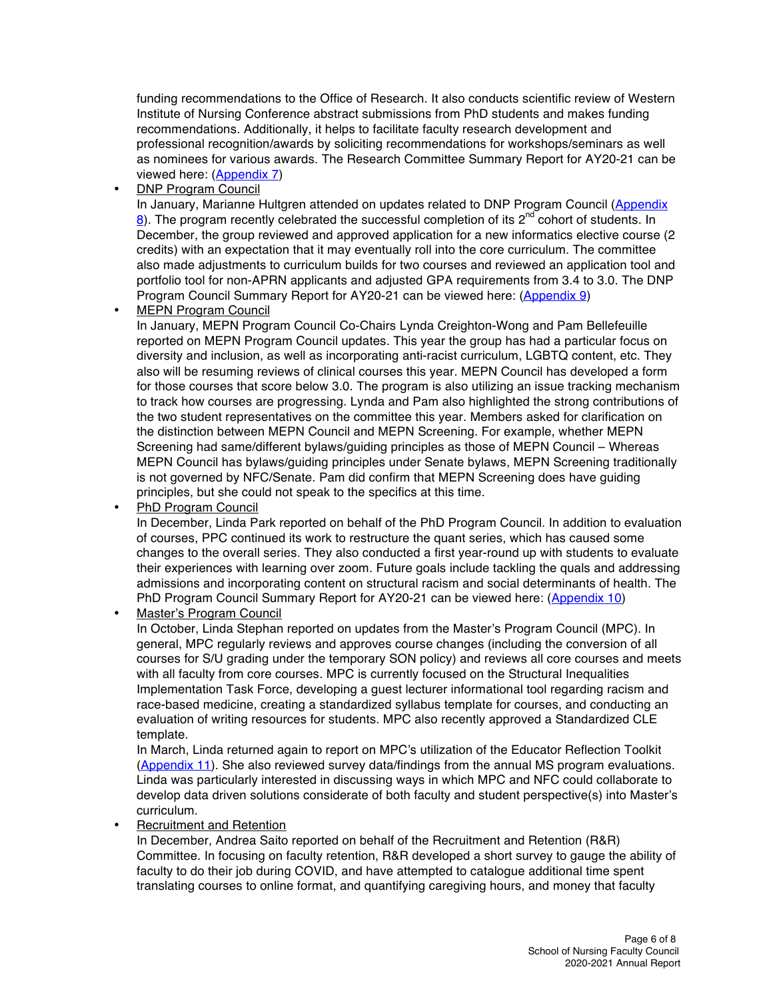funding recommendations to the Office of Research. It also conducts scientific review of Western Institute of Nursing Conference abstract submissions from PhD students and makes funding recommendations. Additionally, it helps to facilitate faculty research development and professional recognition/awards by soliciting recommendations for workshops/seminars as well as nominees for various awards. The Research Committee Summary Report for AY20-21 can be viewed here: [\(Appendix 7\)](https://senate.ucsf.edu/sites/default/files/2022-02/App7_RC_Final_Report_2021.pdf)

• DNP Program Council

In January, Marianne Hultgren attended on updates related to DNP Program Council (Appendix  $8$ ). The program recently celebrated the successful completion of its  $2^{nd}$  cohort of students. In December, the group reviewed and approved application for a new informatics elective course (2 credits) with an expectation that it may eventually roll into the core curriculum. The committee also made adjustments to curriculum builds for two courses and reviewed an application tool and portfolio tool for non-APRN applicants and adjusted GPA requirements from 3.4 to 3.0. The DNP Program Council Summary Report for AY20-21 can be viewed here: [\(Appendix 9\)](https://senate.ucsf.edu/sites/default/files/2022-02/App9_DNP_Report.pdf)

**MEPN Program Council** 

In January, MEPN Program Council Co-Chairs Lynda Creighton-Wong and Pam Bellefeuille reported on MEPN Program Council updates. This year the group has had a particular focus on diversity and inclusion, as well as incorporating anti-racist curriculum, LGBTQ content, etc. They also will be resuming reviews of clinical courses this year. MEPN Council has developed a form for those courses that score below 3.0. The program is also utilizing an issue tracking mechanism to track how courses are progressing. Lynda and Pam also highlighted the strong contributions of the two student representatives on the committee this year. Members asked for clarification on the distinction between MEPN Council and MEPN Screening. For example, whether MEPN Screening had same/different bylaws/guiding principles as those of MEPN Council – Whereas MEPN Council has bylaws/guiding principles under Senate bylaws, MEPN Screening traditionally is not governed by NFC/Senate. Pam did confirm that MEPN Screening does have guiding principles, but she could not speak to the specifics at this time.

• PhD Program Council

In December, Linda Park reported on behalf of the PhD Program Council. In addition to evaluation of courses, PPC continued its work to restructure the quant series, which has caused some changes to the overall series. They also conducted a first year-round up with students to evaluate their experiences with learning over zoom. Future goals include tackling the quals and addressing admissions and incorporating content on structural racism and social determinants of health. The PhD Program Council Summary Report for AY20-21 can be viewed here: ([Appendix 10\)](https://senate.ucsf.edu/sites/default/files/2022-02/App10_PhD_Prog_Council_Report_20_21.pdf) 

• Master's Program Council

In October, Linda Stephan reported on updates from the Master's Program Council (MPC). In general, MPC regularly reviews and approves course changes (including the conversion of all courses for S/U grading under the temporary SON policy) and reviews all core courses and meets with all faculty from core courses. MPC is currently focused on the Structural Inequalities Implementation Task Force, developing a guest lecturer informational tool regarding racism and race-based medicine, creating a standardized syllabus template for courses, and conducting an evaluation of writing resources for students. MPC also recently approved a Standardized CLE template.

In March, Linda returned again to report on MPC's utilization of the Educator Reflection Toolkit [\(Appendix 11\)](https://senate.ucsf.edu/sites/default/files/2022-02/App11_Educator_Reflection_Toolkit.pdf). She also reviewed survey data/findings from the annual MS program evaluations. Linda was particularly interested in discussing ways in which MPC and NFC could collaborate to develop data driven solutions considerate of both faculty and student perspective(s) into Master's curriculum.

• Recruitment and Retention

In December, Andrea Saito reported on behalf of the Recruitment and Retention (R&R) Committee. In focusing on faculty retention, R&R developed a short survey to gauge the ability of faculty to do their job during COVID, and have attempted to catalogue additional time spent translating courses to online format, and quantifying caregiving hours, and money that faculty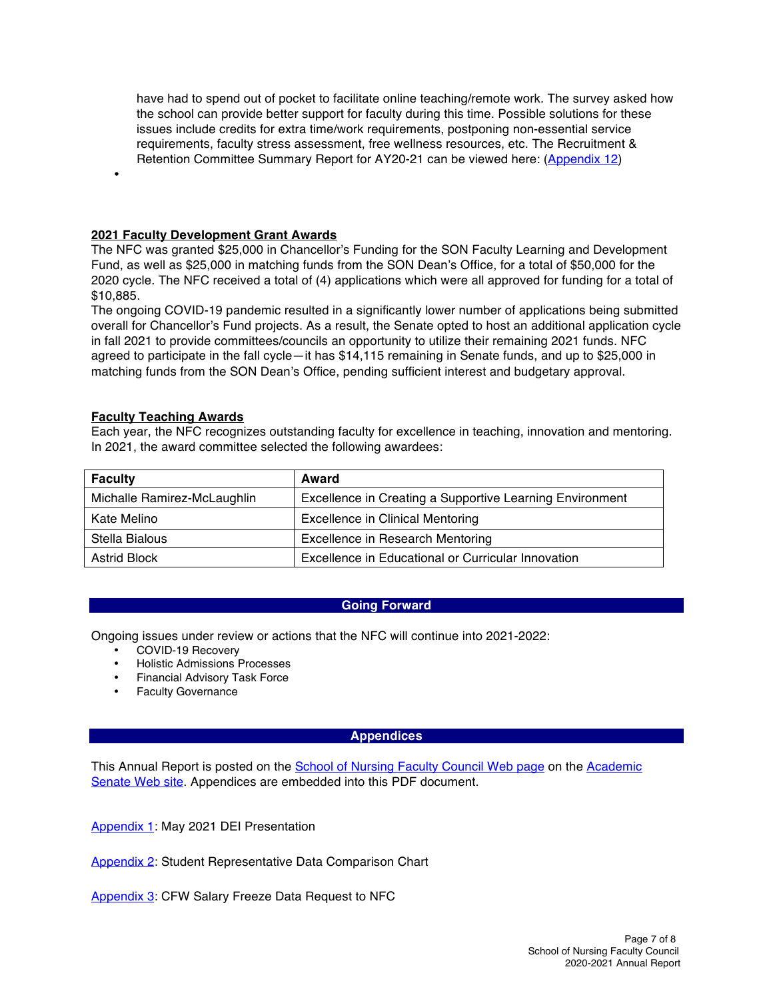have had to spend out of pocket to facilitate online teaching/remote work. The survey asked how the school can provide better support for faculty during this time. Possible solutions for these issues include credits for extra time/work requirements, postponing non-essential service requirements, faculty stress assessment, free wellness resources, etc. The Recruitment & Retention Committee Summary Report for AY20-21 can be viewed here: [\(Appendix 12\)](https://senate.ucsf.edu/sites/default/files/2022-02/App12_RecruitmentRententionCommitteeReport20-21.pdf)

**2021 Faculty Development Grant Awards**

The NFC was granted \$25,000 in Chancellor's Funding for the SON Faculty Learning and Development Fund, as well as \$25,000 in matching funds from the SON Dean's Office, for a total of \$50,000 for the 2020 cycle. The NFC received a total of (4) applications which were all approved for funding for a total of \$10,885.

The ongoing COVID-19 pandemic resulted in a significantly lower number of applications being submitted overall for Chancellor's Fund projects. As a result, the Senate opted to host an additional application cycle in fall 2021 to provide committees/councils an opportunity to utilize their remaining 2021 funds. NFC agreed to participate in the fall cycle—it has \$14,115 remaining in Senate funds, and up to \$25,000 in matching funds from the SON Dean's Office, pending sufficient interest and budgetary approval.

#### **Faculty Teaching Awards**

•

Each year, the NFC recognizes outstanding faculty for excellence in teaching, innovation and mentoring. In 2021, the award committee selected the following awardees:

| <b>Faculty</b>              | Award                                                    |
|-----------------------------|----------------------------------------------------------|
| Michalle Ramirez-McLaughlin | Excellence in Creating a Supportive Learning Environment |
| Kate Melino                 | <b>Excellence in Clinical Mentoring</b>                  |
| Stella Bialous              | <b>Excellence in Research Mentoring</b>                  |
| <b>Astrid Block</b>         | Excellence in Educational or Curricular Innovation       |

#### **Going Forward**

Ongoing issues under review or actions that the NFC will continue into 2021-2022:

- COVID-19 Recovery
- Holistic Admissions Processes
- Financial Advisory Task Force
- Faculty Governance

#### **Appendices**

This Annual Report is posted on the School of Nursing Faculty Council Web page on the Academic Senate Web site. Appendices are embedded into this PDF document.

[Appendix 1:](https://senate.ucsf.edu/sites/default/files/2022-02/App1_DEI_Update_to_NFC_JMH_May_14_2021.pptx) May 2021 DEI Presentation

[Appendix 2:](https://senate.ucsf.edu/sites/default/files/2022-02/App2_StudentRepComparison.docx.pdf) Student Representative Data Comparison Chart

[Appendix 3:](https://senate.ucsf.edu/sites/default/files/2022-02/App3_CFWSalary_Freeze_Data_Request.pdf) CFW Salary Freeze Data Request to NFC